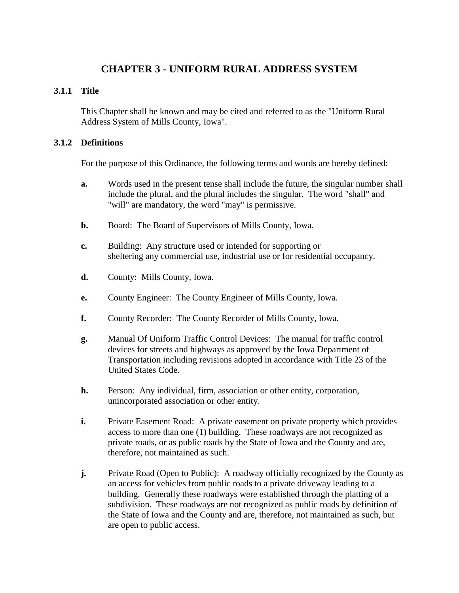# **CHAPTER 3 - UNIFORM RURAL ADDRESS SYSTEM**

#### **3.1.1 Title**

This Chapter shall be known and may be cited and referred to as the "Uniform Rural Address System of Mills County, Iowa".

#### **3.1.2 Definitions**

For the purpose of this Ordinance, the following terms and words are hereby defined:

- **a.** Words used in the present tense shall include the future, the singular number shall include the plural, and the plural includes the singular. The word "shall" and "will" are mandatory, the word "may" is permissive.
- **b.** Board: The Board of Supervisors of Mills County, Iowa.
- **c.** Building: Any structure used or intended for supporting or sheltering any commercial use, industrial use or for residential occupancy.
- **d.** County: Mills County, Iowa.
- **e.** County Engineer: The County Engineer of Mills County, Iowa.
- **f.** County Recorder: The County Recorder of Mills County, Iowa.
- **g.** Manual Of Uniform Traffic Control Devices: The manual for traffic control devices for streets and highways as approved by the Iowa Department of Transportation including revisions adopted in accordance with Title 23 of the United States Code.
- **h.** Person: Any individual, firm, association or other entity, corporation, unincorporated association or other entity.
- **i.** Private Easement Road: A private easement on private property which provides access to more than one (1) building. These roadways are not recognized as private roads, or as public roads by the State of Iowa and the County and are, therefore, not maintained as such.
- **j.** Private Road (Open to Public): A roadway officially recognized by the County as an access for vehicles from public roads to a private driveway leading to a building. Generally these roadways were established through the platting of a subdivision.These roadways are not recognized as public roads by definition of the State of Iowa and the County and are, therefore, not maintained as such, but are open to public access.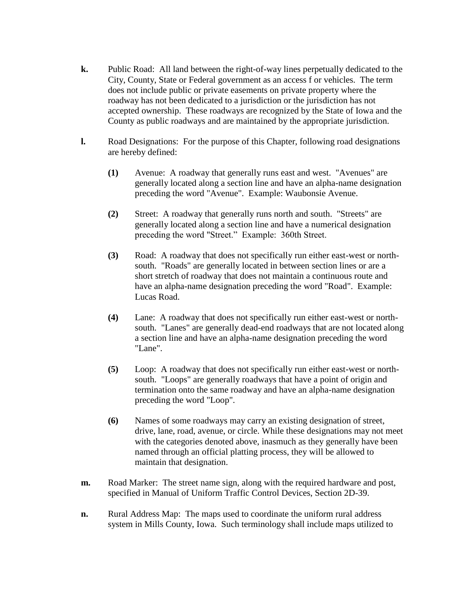- **k.** Public Road: All land between the right-of-way lines perpetually dedicated to the City, County, State or Federal government as an access f or vehicles. The term does not include public or private easements on private property where the roadway has not been dedicated to a jurisdiction or the jurisdiction has not accepted ownership. These roadways are recognized by the State of Iowa and the County as public roadways and are maintained by the appropriate jurisdiction.
- **l.** Road Designations: For the purpose of this Chapter, following road designations are hereby defined:
	- **(1)** Avenue: A roadway that generally runs east and west. "Avenues" are generally located along a section line and have an alpha-name designation preceding the word "Avenue". Example: Waubonsie Avenue.
	- **(2)** Street: A roadway that generally runs north and south. "Streets" are generally located along a section line and have a numerical designation preceding the word "Street." Example: 360th Street.
	- **(3)** Road: A roadway that does not specifically run either east-west or northsouth. "Roads" are generally located in between section lines or are a short stretch of roadway that does not maintain a continuous route and have an alpha-name designation preceding the word "Road". Example: Lucas Road.
	- **(4)** Lane: A roadway that does not specifically run either east-west or northsouth. "Lanes" are generally dead-end roadways that are not located along a section line and have an alpha-name designation preceding the word "Lane".
	- **(5)** Loop: A roadway that does not specifically run either east-west or northsouth. "Loops" are generally roadways that have a point of origin and termination onto the same roadway and have an alpha-name designation preceding the word "Loop".
	- **(6)** Names of some roadways may carry an existing designation of street, drive, lane, road, avenue, or circle. While these designations may not meet with the categories denoted above, inasmuch as they generally have been named through an official platting process, they will be allowed to maintain that designation.
- **m.** Road Marker: The street name sign, along with the required hardware and post, specified in Manual of Uniform Traffic Control Devices, Section 2D-39.
- **n.** Rural Address Map: The maps used to coordinate the uniform rural address system in Mills County, Iowa. Such terminology shall include maps utilized to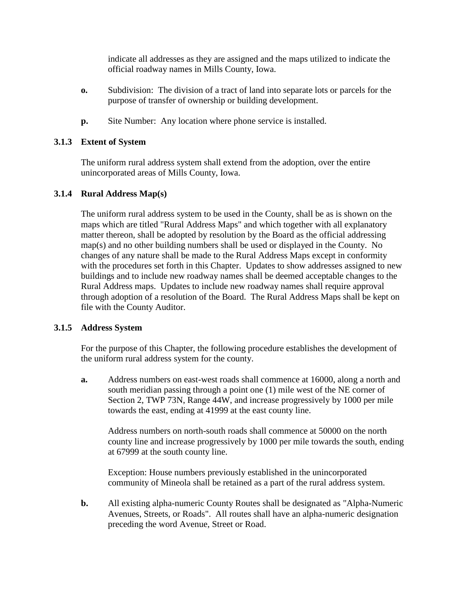indicate all addresses as they are assigned and the maps utilized to indicate the official roadway names in Mills County, Iowa.

- **o.** Subdivision: The division of a tract of land into separate lots or parcels for the purpose of transfer of ownership or building development.
- **p.** Site Number: Any location where phone service is installed.

## **3.1.3 Extent of System**

The uniform rural address system shall extend from the adoption, over the entire unincorporated areas of Mills County, Iowa.

# **3.1.4 Rural Address Map(s)**

The uniform rural address system to be used in the County, shall be as is shown on the maps which are titled "Rural Address Maps" and which together with all explanatory matter thereon, shall be adopted by resolution by the Board as the official addressing map(s) and no other building numbers shall be used or displayed in the County. No changes of any nature shall be made to the Rural Address Maps except in conformity with the procedures set forth in this Chapter. Updates to show addresses assigned to new buildings and to include new roadway names shall be deemed acceptable changes to the Rural Address maps. Updates to include new roadway names shall require approval through adoption of a resolution of the Board. The Rural Address Maps shall be kept on file with the County Auditor.

## **3.1.5 Address System**

For the purpose of this Chapter, the following procedure establishes the development of the uniform rural address system for the county.

**a.** Address numbers on east-west roads shall commence at 16000, along a north and south meridian passing through a point one (1) mile west of the NE corner of Section 2, TWP 73N, Range 44W, and increase progressively by 1000 per mile towards the east, ending at 41999 at the east county line.

Address numbers on north-south roads shall commence at 50000 on the north county line and increase progressively by 1000 per mile towards the south, ending at 67999 at the south county line.

Exception: House numbers previously established in the unincorporated community of Mineola shall be retained as a part of the rural address system.

**b.** All existing alpha-numeric County Routes shall be designated as "Alpha-Numeric Avenues, Streets, or Roads". All routes shall have an alpha-numeric designation preceding the word Avenue, Street or Road.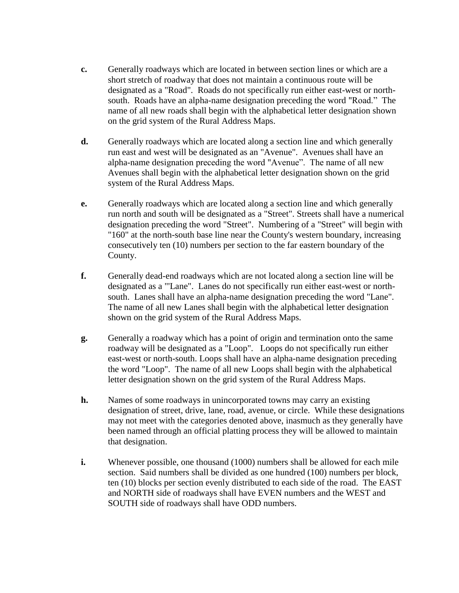- **c.** Generally roadways which are located in between section lines or which are a short stretch of roadway that does not maintain a continuous route will be designated as a "Road". Roads do not specifically run either east-west or northsouth. Roads have an alpha-name designation preceding the word "Road." The name of all new roads shall begin with the alphabetical letter designation shown on the grid system of the Rural Address Maps.
- **d.** Generally roadways which are located along a section line and which generally run east and west will be designated as an "Avenue". Avenues shall have an alpha-name designation preceding the word "Avenue". The name of all new Avenues shall begin with the alphabetical letter designation shown on the grid system of the Rural Address Maps.
- **e.** Generally roadways which are located along a section line and which generally run north and south will be designated as a "Street". Streets shall have a numerical designation preceding the word "Street". Numbering of a "Street" will begin with "160" at the north-south base line near the County's western boundary, increasing consecutively ten (10) numbers per section to the far eastern boundary of the County.
- **f.** Generally dead-end roadways which are not located along a section line will be designated as a "'Lane". Lanes do not specifically run either east-west or northsouth. Lanes shall have an alpha-name designation preceding the word "Lane". The name of all new Lanes shall begin with the alphabetical letter designation shown on the grid system of the Rural Address Maps.
- **g.** Generally a roadway which has a point of origin and termination onto the same roadway will be designated as a "Loop". Loops do not specifically run either east-west or north-south. Loops shall have an alpha-name designation preceding the word "Loop". The name of all new Loops shall begin with the alphabetical letter designation shown on the grid system of the Rural Address Maps.
- **h.** Names of some roadways in unincorporated towns may carry an existing designation of street, drive, lane, road, avenue, or circle. While these designations may not meet with the categories denoted above, inasmuch as they generally have been named through an official platting process they will be allowed to maintain that designation.
- **i.** Whenever possible, one thousand (1000) numbers shall be allowed for each mile section. Said numbers shall be divided as one hundred (100) numbers per block, ten (10) blocks per section evenly distributed to each side of the road. The EAST and NORTH side of roadways shall have EVEN numbers and the WEST and SOUTH side of roadways shall have ODD numbers.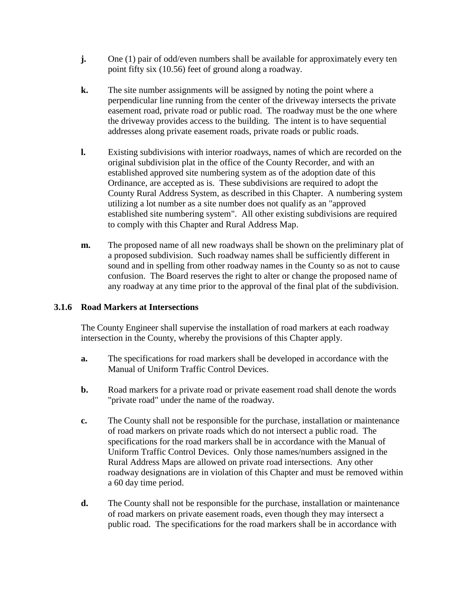- **j.** One (1) pair of odd/even numbers shall be available for approximately every ten point fifty six (10.56) feet of ground along a roadway.
- **k.** The site number assignments will be assigned by noting the point where a perpendicular line running from the center of the driveway intersects the private easement road, private road or public road. The roadway must be the one where the driveway provides access to the building. The intent is to have sequential addresses along private easement roads, private roads or public roads.
- **l.** Existing subdivisions with interior roadways, names of which are recorded on the original subdivision plat in the office of the County Recorder, and with an established approved site numbering system as of the adoption date of this Ordinance, are accepted as is. These subdivisions are required to adopt the County Rural Address System, as described in this Chapter. A numbering system utilizing a lot number as a site number does not qualify as an "approved established site numbering system". All other existing subdivisions are required to comply with this Chapter and Rural Address Map.
- **m.** The proposed name of all new roadways shall be shown on the preliminary plat of a proposed subdivision. Such roadway names shall be sufficiently different in sound and in spelling from other roadway names in the County so as not to cause confusion. The Board reserves the right to alter or change the proposed name of any roadway at any time prior to the approval of the final plat of the subdivision.

## **3.1.6 Road Markers at Intersections**

The County Engineer shall supervise the installation of road markers at each roadway intersection in the County, whereby the provisions of this Chapter apply.

- **a.** The specifications for road markers shall be developed in accordance with the Manual of Uniform Traffic Control Devices.
- **b.** Road markers for a private road or private easement road shall denote the words "private road" under the name of the roadway.
- **c.** The County shall not be responsible for the purchase, installation or maintenance of road markers on private roads which do not intersect a public road. The specifications for the road markers shall be in accordance with the Manual of Uniform Traffic Control Devices. Only those names/numbers assigned in the Rural Address Maps are allowed on private road intersections. Any other roadway designations are in violation of this Chapter and must be removed within a 60 day time period.
- **d.** The County shall not be responsible for the purchase, installation or maintenance of road markers on private easement roads, even though they may intersect a public road. The specifications for the road markers shall be in accordance with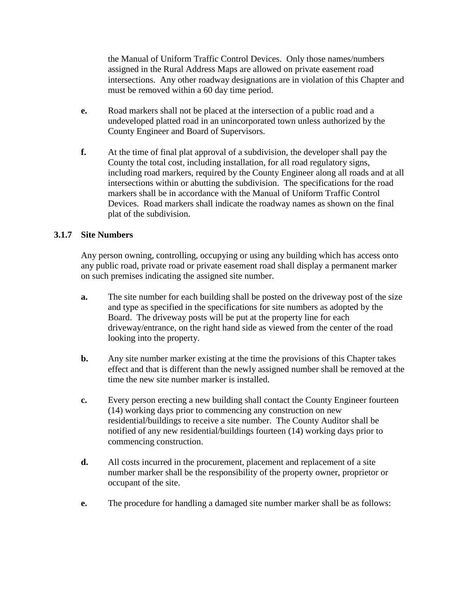the Manual of Uniform Traffic Control Devices. Only those names/numbers assigned in the Rural Address Maps are allowed on private easement road intersections. Any other roadway designations are in violation of this Chapter and must be removed within a 60 day time period.

- **e.** Road markers shall not be placed at the intersection of a public road and a undeveloped platted road in an unincorporated town unless authorized by the County Engineer and Board of Supervisors.
- **f.** At the time of final plat approval of a subdivision, the developer shall pay the County the total cost, including installation, for all road regulatory signs, including road markers, required by the County Engineer along all roads and at all intersections within or abutting the subdivision. The specifications for the road markers shall be in accordance with the Manual of Uniform Traffic Control Devices. Road markers shall indicate the roadway names as shown on the final plat of the subdivision.

## **3.1.7 Site Numbers**

Any person owning, controlling, occupying or using any building which has access onto any public road, private road or private easement road shall display a permanent marker on such premises indicating the assigned site number.

- **a.** The site number for each building shall be posted on the driveway post of the size and type as specified in the specifications for site numbers as adopted by the Board. The driveway posts will be put at the property line for each driveway/entrance, on the right hand side as viewed from the center of the road looking into the property.
- **b.** Any site number marker existing at the time the provisions of this Chapter takes effect and that is different than the newly assigned number shall be removed at the time the new site number marker is installed.
- **c.** Every person erecting a new building shall contact the County Engineer fourteen (14) working days prior to commencing any construction on new residential/buildings to receive a site number. The County Auditor shall be notified of any new residential/buildings fourteen (14) working days prior to commencing construction.
- **d.** All costs incurred in the procurement, placement and replacement of a site number marker shall be the responsibility of the property owner, proprietor or occupant of the site.
- **e.** The procedure for handling a damaged site number marker shall be as follows: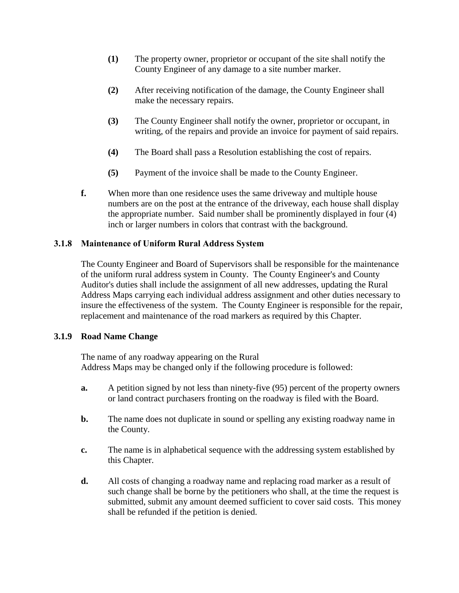- **(1)** The property owner, proprietor or occupant of the site shall notify the County Engineer of any damage to a site number marker.
- **(2)** After receiving notification of the damage, the County Engineer shall make the necessary repairs.
- **(3)** The County Engineer shall notify the owner, proprietor or occupant, in writing, of the repairs and provide an invoice for payment of said repairs.
- **(4)** The Board shall pass a Resolution establishing the cost of repairs.
- **(5)** Payment of the invoice shall be made to the County Engineer.
- **f.** When more than one residence uses the same driveway and multiple house numbers are on the post at the entrance of the driveway, each house shall display the appropriate number. Said number shall be prominently displayed in four (4) inch or larger numbers in colors that contrast with the background.

# **3.1.8 Maintenance of Uniform Rural Address System**

The County Engineer and Board of Supervisors shall be responsible for the maintenance of the uniform rural address system in County. The County Engineer's and County Auditor's duties shall include the assignment of all new addresses, updating the Rural Address Maps carrying each individual address assignment and other duties necessary to insure the effectiveness of the system. The County Engineer is responsible for the repair, replacement and maintenance of the road markers as required by this Chapter.

## **3.1.9 Road Name Change**

The name of any roadway appearing on the Rural Address Maps may be changed only if the following procedure is followed:

- **a.** A petition signed by not less than ninety-five (95) percent of the property owners or land contract purchasers fronting on the roadway is filed with the Board.
- **b.** The name does not duplicate in sound or spelling any existing roadway name in the County.
- **c.** The name is in alphabetical sequence with the addressing system established by this Chapter.
- **d.** All costs of changing a roadway name and replacing road marker as a result of such change shall be borne by the petitioners who shall, at the time the request is submitted, submit any amount deemed sufficient to cover said costs. This money shall be refunded if the petition is denied.